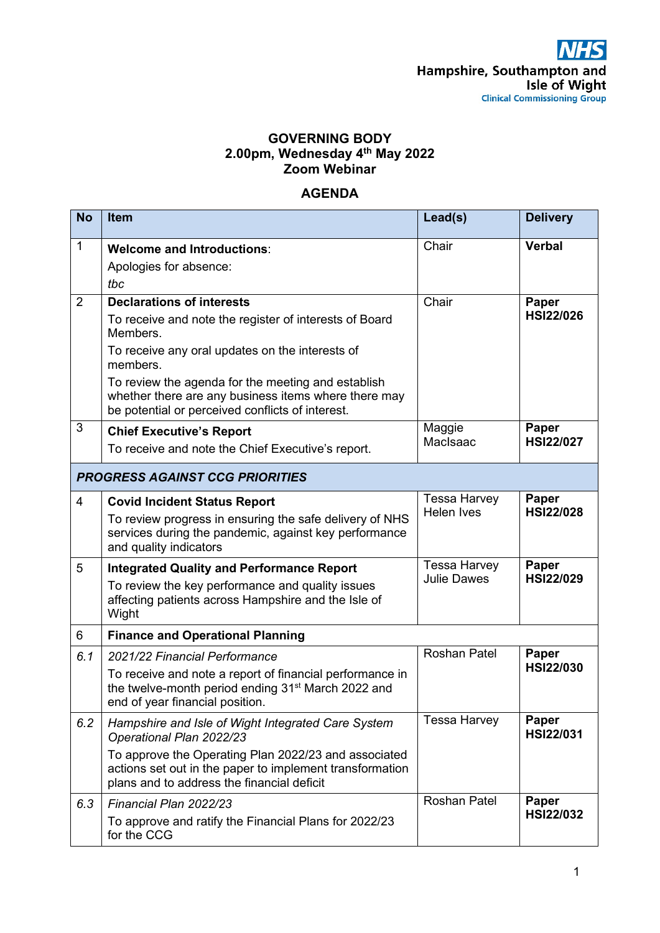## **GOVERNING BODY 2.00pm, Wednesday 4th May 2022 Zoom Webinar**

## **AGENDA**

| <b>No</b>                              | <b>Item</b>                                                                                                                                                    | Lead(s)             | <b>Delivery</b>           |  |  |
|----------------------------------------|----------------------------------------------------------------------------------------------------------------------------------------------------------------|---------------------|---------------------------|--|--|
| $\mathbf{1}$                           | <b>Welcome and Introductions:</b><br>Apologies for absence:<br>tbc                                                                                             | Chair               | <b>Verbal</b>             |  |  |
| 2                                      | <b>Declarations of interests</b>                                                                                                                               | Chair               | Paper                     |  |  |
|                                        | To receive and note the register of interests of Board<br>Members.                                                                                             |                     | <b>HSI22/026</b>          |  |  |
|                                        | To receive any oral updates on the interests of<br>members.                                                                                                    |                     |                           |  |  |
|                                        | To review the agenda for the meeting and establish<br>whether there are any business items where there may<br>be potential or perceived conflicts of interest. |                     |                           |  |  |
| 3                                      | <b>Chief Executive's Report</b><br>To receive and note the Chief Executive's report.                                                                           | Maggie<br>MacIsaac  | Paper<br><b>HSI22/027</b> |  |  |
| <b>PROGRESS AGAINST CCG PRIORITIES</b> |                                                                                                                                                                |                     |                           |  |  |
| $\overline{4}$                         | <b>Covid Incident Status Report</b>                                                                                                                            | <b>Tessa Harvey</b> | Paper                     |  |  |
|                                        | To review progress in ensuring the safe delivery of NHS<br>services during the pandemic, against key performance<br>and quality indicators                     | <b>Helen Ives</b>   | <b>HSI22/028</b>          |  |  |
| 5                                      | <b>Integrated Quality and Performance Report</b>                                                                                                               | <b>Tessa Harvey</b> | Paper                     |  |  |
|                                        | To review the key performance and quality issues<br>affecting patients across Hampshire and the Isle of<br>Wight                                               | <b>Julie Dawes</b>  | <b>HSI22/029</b>          |  |  |
| 6                                      | <b>Finance and Operational Planning</b>                                                                                                                        |                     |                           |  |  |
| 6.1                                    | 2021/22 Financial Performance                                                                                                                                  | <b>Roshan Patel</b> | Paper                     |  |  |
|                                        | To receive and note a report of financial performance in<br>the twelve-month period ending 31 <sup>st</sup> March 2022 and<br>end of year financial position.  |                     | <b>HSI22/030</b>          |  |  |
| 6.2                                    | Hampshire and Isle of Wight Integrated Care System<br>Operational Plan 2022/23                                                                                 | <b>Tessa Harvey</b> | Paper<br><b>HSI22/031</b> |  |  |
|                                        | To approve the Operating Plan 2022/23 and associated<br>actions set out in the paper to implement transformation<br>plans and to address the financial deficit |                     |                           |  |  |
| 6.3                                    | Financial Plan 2022/23                                                                                                                                         | <b>Roshan Patel</b> | Paper                     |  |  |
|                                        | To approve and ratify the Financial Plans for 2022/23<br>for the CCG                                                                                           |                     | <b>HSI22/032</b>          |  |  |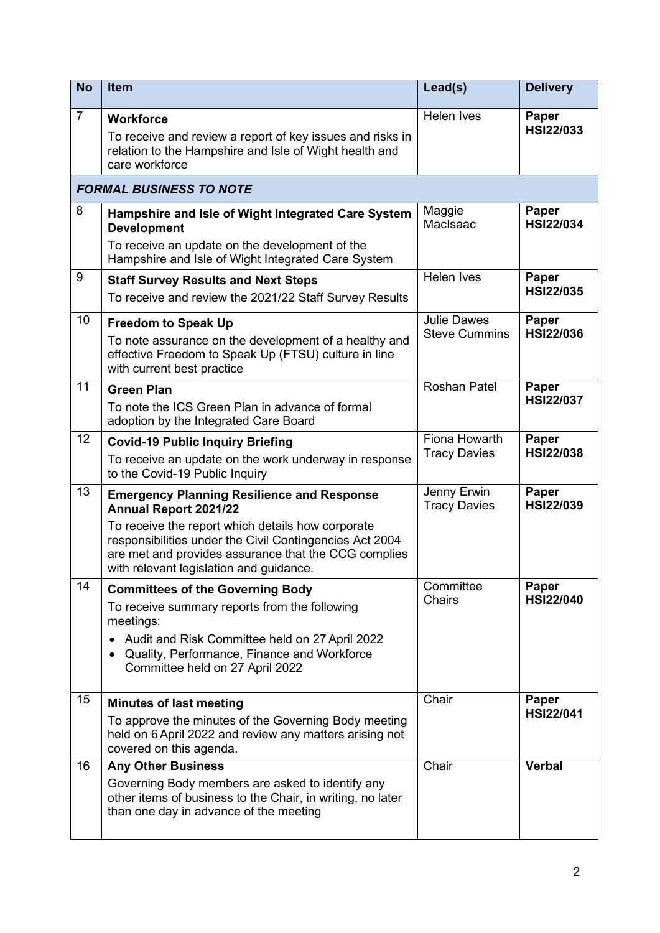| <b>No</b>      | Item                                                                                                                                                                                                                                                                                          | Lead(s)                                    | <b>Delivery</b>           |  |  |  |
|----------------|-----------------------------------------------------------------------------------------------------------------------------------------------------------------------------------------------------------------------------------------------------------------------------------------------|--------------------------------------------|---------------------------|--|--|--|
| $\overline{7}$ | <b>Workforce</b><br>To receive and review a report of key issues and risks in<br>relation to the Hampshire and Isle of Wight health and<br>care workforce                                                                                                                                     | Helen Ives                                 | Paper<br><b>HSI22/033</b> |  |  |  |
|                | <b>FORMAL BUSINESS TO NOTE</b>                                                                                                                                                                                                                                                                |                                            |                           |  |  |  |
| 8              | Hampshire and Isle of Wight Integrated Care System<br><b>Development</b><br>To receive an update on the development of the<br>Hampshire and Isle of Wight Integrated Care System                                                                                                              | Maggie<br>MacIsaac                         | Paper<br><b>HSI22/034</b> |  |  |  |
| 9              | <b>Staff Survey Results and Next Steps</b><br>To receive and review the 2021/22 Staff Survey Results                                                                                                                                                                                          | Helen Ives                                 | Paper<br><b>HSI22/035</b> |  |  |  |
| 10             | <b>Freedom to Speak Up</b><br>To note assurance on the development of a healthy and<br>effective Freedom to Speak Up (FTSU) culture in line<br>with current best practice                                                                                                                     | <b>Julie Dawes</b><br><b>Steve Cummins</b> | Paper<br><b>HSI22/036</b> |  |  |  |
| 11             | <b>Green Plan</b><br>To note the ICS Green Plan in advance of formal<br>adoption by the Integrated Care Board                                                                                                                                                                                 | <b>Roshan Patel</b>                        | Paper<br><b>HSI22/037</b> |  |  |  |
| 12             | <b>Covid-19 Public Inquiry Briefing</b><br>To receive an update on the work underway in response<br>to the Covid-19 Public Inquiry                                                                                                                                                            | Fiona Howarth<br><b>Tracy Davies</b>       | Paper<br><b>HSI22/038</b> |  |  |  |
| 13             | <b>Emergency Planning Resilience and Response</b><br>Annual Report 2021/22<br>To receive the report which details how corporate<br>responsibilities under the Civil Contingencies Act 2004<br>are met and provides assurance that the CCG complies<br>with relevant legislation and guidance. | Jenny Erwin<br><b>Tracy Davies</b>         | Paper<br><b>HSI22/039</b> |  |  |  |
| 14             | <b>Committees of the Governing Body</b><br>To receive summary reports from the following<br>meetings:<br>Audit and Risk Committee held on 27 April 2022<br>$\bullet$<br>Quality, Performance, Finance and Workforce<br>Committee held on 27 April 2022                                        | Committee<br><b>Chairs</b>                 | Paper<br><b>HSI22/040</b> |  |  |  |
| 15             | <b>Minutes of last meeting</b><br>To approve the minutes of the Governing Body meeting<br>held on 6 April 2022 and review any matters arising not<br>covered on this agenda.                                                                                                                  | Chair                                      | Paper<br><b>HSI22/041</b> |  |  |  |
| 16             | <b>Any Other Business</b><br>Governing Body members are asked to identify any<br>other items of business to the Chair, in writing, no later<br>than one day in advance of the meeting                                                                                                         | Chair                                      | <b>Verbal</b>             |  |  |  |